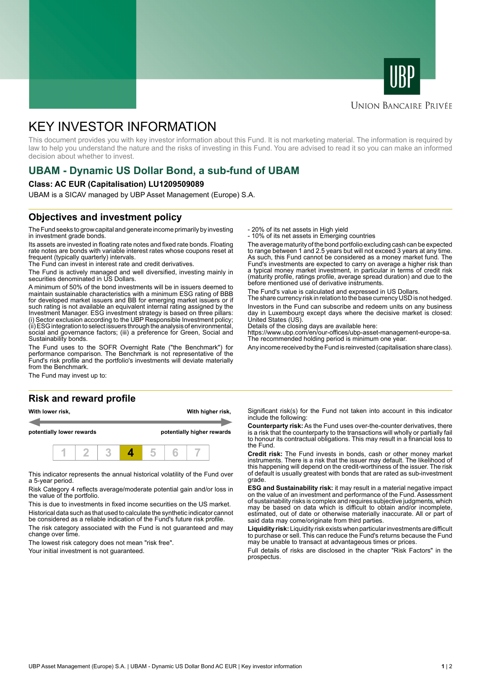



### **UNION BANCAIRE PRIVÉE**

# KEY INVESTOR INFORMATION

This document provides you with key investor information about this Fund. It is not marketing material. The information is required by law to help you understand the nature and the risks of investing in this Fund. You are advised to read it so you can make an informed decision about whether to invest.

# **UBAM - Dynamic US Dollar Bond, a sub-fund of UBAM**

#### **Class: AC EUR (Capitalisation) LU1209509089**

UBAM is a SICAV managed by UBP Asset Management (Europe) S.A.

## **Objectives and investment policy**

The Fund seeks to grow capital and generate income primarily by investing in investment grade bonds.

Its assets are invested in floating rate notes and fixed rate bonds. Floating rate notes are bonds with variable interest rates whose coupons reset at frequent (typically quarterly) intervals.

The Fund can invest in interest rate and credit derivatives.

The Fund is actively managed and well diversified, investing mainly in securities denominated in US Dollars.

A minimum of 50% of the bond investments will be in issuers deemed to maintain sustainable characteristics with a minimum ESG rating of BBB for developed market issuers and BB for emerging market issuers or if such rating is not available an equivalent internal rating assigned by the Investment Manager. ESG investment strategy is based on three pillars: (i) Sector exclusion according to the UBP Responsible Investment policy; (ii) ESG integration to select issuers through the analysis of environmental, social and governance factors; (iii) a preference for Green, Social and Sustainability bonds.

The Fund uses to the SOFR Overnight Rate ("the Benchmark") for performance comparison. The Benchmark is not representative of the Fund's risk profile and the portfolio's investments will deviate materially from the Benchmark.

The Fund may invest up to:

#### **Risk and reward profile**



This indicator represents the annual historical volatility of the Fund over a 5-year period.

Risk Category 4 reflects average/moderate potential gain and/or loss in the value of the portfolio.

This is due to investments in fixed income securities on the US market. Historical data such as that used to calculate the synthetic indicator cannot be considered as a reliable indication of the Fund's future risk profile.

The risk category associated with the Fund is not guaranteed and may change over time.

The lowest risk category does not mean "risk free".

Your initial investment is not guaranteed.

- 20% of its net assets in High yield

- 10% of its net assets in Emerging countries

The average maturity of the bond portfolio excluding cash can be expected to range between 1 and 2.5 years but will not exceed 3 years at any time. As such, this Fund cannot be considered as a money market fund. The Fund's investments are expected to carry on average a higher risk than a typical money market investment, in particular in terms of credit risk (maturity profile, ratings profile, average spread duration) and due to the before mentioned use of derivative instruments.

The Fund's value is calculated and expressed in US Dollars.

The share currency risk in relation to the base currency USD is not hedged. Investors in the Fund can subscribe and redeem units on any business

day in Luxembourg except days where the decisive market is closed: United States (US).

Details of the closing days are available here:

https://www.ubp.com/en/our-offices/ubp-asset-management-europe-sa. The recommended holding period is minimum one year.

Any income received by the Fund is reinvested (capitalisation share class).

Significant risk(s) for the Fund not taken into account in this indicator include the following:

**Counterparty risk:** As the Fund uses over-the-counter derivatives, there is a risk that the counterparty to the transactions will wholly or partially fail to honour its contractual obligations. This may result in a financial loss to the Fund.

**Credit risk:** The Fund invests in bonds, cash or other money market instruments. There is a risk that the issuer may default. The likelihood of this happening will depend on the credit-worthiness of the issuer. The risk of default is usually greatest with bonds that are rated as sub-investment grade.

**ESG and Sustainability risk:** it may result in a material negative impact on the value of an investment and performance of the Fund. Assessment of sustainability risks is complex and requires subjective judgments, which may be based on data which is difficult to obtain and/or incomplete, estimated, out of date or otherwise materially inaccurate. All or part of said data may come/originate from third parties.

**Liquidity risk:** Liquidity risk exists when particular investments are difficult to purchase or sell. This can reduce the Fund's returns because the Fund may be unable to transact at advantageous times or prices.

Full details of risks are disclosed in the chapter "Risk Factors" in the prospectus.